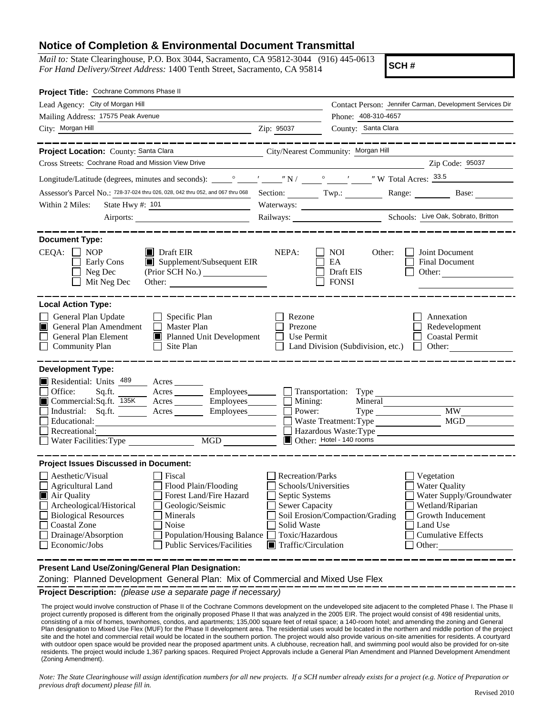## **Notice of Completion & Environmental Document Transmittal**

*Mail to:* State Clearinghouse, P.O. Box 3044, Sacramento, CA 95812-3044 (916) 445-0613 *For Hand Delivery/Street Address:* 1400 Tenth Street, Sacramento, CA 95814

**SCH #**

|                                               |                                          | Contact Person: Jennifer Carman, Development Services Dir                                                                                                                                                                                                                                                                                                                                                                                                                     |
|-----------------------------------------------|------------------------------------------|-------------------------------------------------------------------------------------------------------------------------------------------------------------------------------------------------------------------------------------------------------------------------------------------------------------------------------------------------------------------------------------------------------------------------------------------------------------------------------|
|                                               | Phone: 408-310-4657                      |                                                                                                                                                                                                                                                                                                                                                                                                                                                                               |
| Zip: 95037                                    | County: Santa Clara                      |                                                                                                                                                                                                                                                                                                                                                                                                                                                                               |
|                                               |                                          |                                                                                                                                                                                                                                                                                                                                                                                                                                                                               |
|                                               |                                          |                                                                                                                                                                                                                                                                                                                                                                                                                                                                               |
|                                               |                                          | Zip Code: 95037                                                                                                                                                                                                                                                                                                                                                                                                                                                               |
|                                               |                                          |                                                                                                                                                                                                                                                                                                                                                                                                                                                                               |
|                                               |                                          |                                                                                                                                                                                                                                                                                                                                                                                                                                                                               |
|                                               |                                          |                                                                                                                                                                                                                                                                                                                                                                                                                                                                               |
|                                               |                                          |                                                                                                                                                                                                                                                                                                                                                                                                                                                                               |
| NEPA:                                         | Other:                                   | Joint Document<br><b>Final Document</b>                                                                                                                                                                                                                                                                                                                                                                                                                                       |
| (Prior SCH No.)                               | Draft EIS<br><b>FONSI</b>                | Other:                                                                                                                                                                                                                                                                                                                                                                                                                                                                        |
|                                               |                                          |                                                                                                                                                                                                                                                                                                                                                                                                                                                                               |
| Rezone<br>Prezone<br>Planned Unit Development |                                          | Annexation<br>Redevelopment<br>Coastal Permit<br>$\Box$<br>Other:                                                                                                                                                                                                                                                                                                                                                                                                             |
|                                               |                                          |                                                                                                                                                                                                                                                                                                                                                                                                                                                                               |
| Acres Employees<br>Employees_______<br>MGD    | Mineral                                  | <b>MW</b><br>MGD                                                                                                                                                                                                                                                                                                                                                                                                                                                              |
|                                               |                                          |                                                                                                                                                                                                                                                                                                                                                                                                                                                                               |
| Solid Waste<br>Population/Housing Balance     |                                          | Vegetation<br><b>Water Quality</b><br>Water Supply/Groundwater<br>Wetland/Riparian<br>Growth Inducement<br>Land Use<br><b>Cumulative Effects</b><br>Other:                                                                                                                                                                                                                                                                                                                    |
|                                               | $\blacksquare$ Supplement/Subsequent EIR | City/Nearest Community: Morgan Hill<br>Section: Twp.: Range: Base:<br><b>NOI</b><br>EA<br>Use Permit<br>Land Division (Subdivision, etc.)<br>Employees<br><u>Community</u> Transportation: Type<br>Mining:<br>Power:<br>Waste Treatment: Type<br>Hazardous Waste: Type<br>Other: Hotel - 140 rooms<br><b>Recreation/Parks</b><br>Schools/Universities<br>Septic Systems<br><b>Sewer Capacity</b><br>Soil Erosion/Compaction/Grading<br>Toxic/Hazardous<br>Traffic/Circulation |

**Present Land Use/Zoning/General Plan Designation:**

Zoning: Planned Development General Plan: Mix of Commercial and Mixed Use Flex

**Project Description:** *(please use a separate page if necessary)*

The project would involve construction of Phase II of the Cochrane Commons development on the undeveloped site adjacent to the completed Phase I. The Phase II project currently proposed is different from the originally proposed Phase II that was analyzed in the 2005 EIR. The project would consist of 498 residential units, consisting of a mix of homes, townhomes, condos, and apartments; 135,000 square feet of retail space; a 140-room hotel; and amending the zoning and General Plan designation to Mixed Use Flex (MUF) for the Phase II development area. The residential uses would be located in the northern and middle portion of the project site and the hotel and commercial retail would be located in the southern portion. The project would also provide various on-site amenities for residents. A courtyard with outdoor open space would be provided near the proposed apartment units. A clubhouse, recreation hall, and swimming pool would also be provided for on-site residents. The project would include 1,367 parking spaces. Required Project Approvals include a General Plan Amendment and Planned Development Amendment (Zoning Amendment).

*Note: The State Clearinghouse will assign identification numbers for all new projects. If a SCH number already exists for a project (e.g. Notice of Preparation or previous draft document) please fill in.*